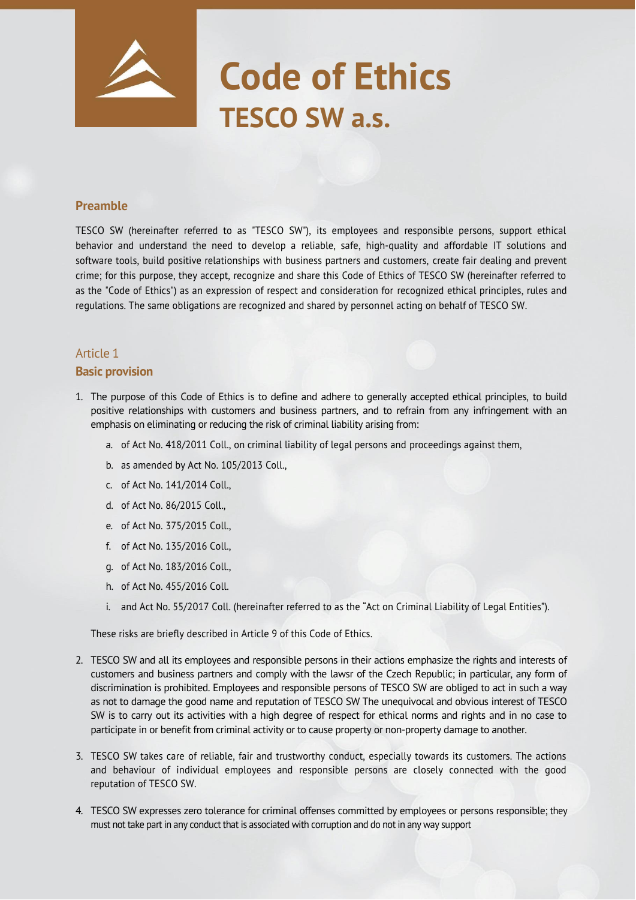# **Code of Ethics TESCO SW a.s.**

#### **Preamble**

TESCO SW (hereinafter referred to as "TESCO SW"), its employees and responsible persons, support ethical behavior and understand the need to develop a reliable, safe, high-quality and affordable IT solutions and software tools, build positive relationships with business partners and customers, create fair dealing and prevent crime; for this purpose, they accept, recognize and share this Code of Ethics of TESCO SW (hereinafter referred to as the "Code of Ethics") as an expression of respect and consideration for recognized ethical principles, rules and regulations. The same obligations are recognized and shared by personnel acting on behalf of TESCO SW.

# Article 1 **Basic provision**

- 1. The purpose of this Code of Ethics is to define and adhere to generally accepted ethical principles, to build positive relationships with customers and business partners, and to refrain from any infringement with an emphasis on eliminating or reducing the risk of criminal liability arising from:
	- a. of Act No. 418/2011 Coll., on criminal liability of legal persons and proceedings against them,
	- b. as amended by Act No. 105/2013 Coll.,
	- c. of Act No. 141/2014 Coll.,
	- d. of Act No. 86/2015 Coll.,
	- e. of Act No. 375/2015 Coll.,
	- f. of Act No. 135/2016 Coll.,
	- g. of Act No. 183/2016 Coll.,
	- h. of Act No. 455/2016 Coll.
	- i. and Act No. 55/2017 Coll. (hereinafter referred to as the "Act on Criminal Liability of Legal Entities").

These risks are briefly described in Article 9 of this Code of Ethics.

- 2. TESCO SW and all its employees and responsible persons in their actions emphasize the rights and interests of customers and business partners and comply with the lawsr of the Czech Republic; in particular, any form of discrimination is prohibited. Employees and responsible persons of TESCO SW are obliged to act in such a way as not to damage the good name and reputation of TESCO SW The unequivocal and obvious interest of TESCO SW is to carry out its activities with a high degree of respect for ethical norms and rights and in no case to participate in or benefit from criminal activity or to cause property or non-property damage to another.
- 3. TESCO SW takes care of reliable, fair and trustworthy conduct, especially towards its customers. The actions and behaviour of individual employees and responsible persons are closely connected with the good reputation of TESCO SW.
- 4. TESCO SW expresses zero tolerance for criminal offenses committed by employees or persons responsible; they must not take part in any conduct that is associated with corruption and do not in any way support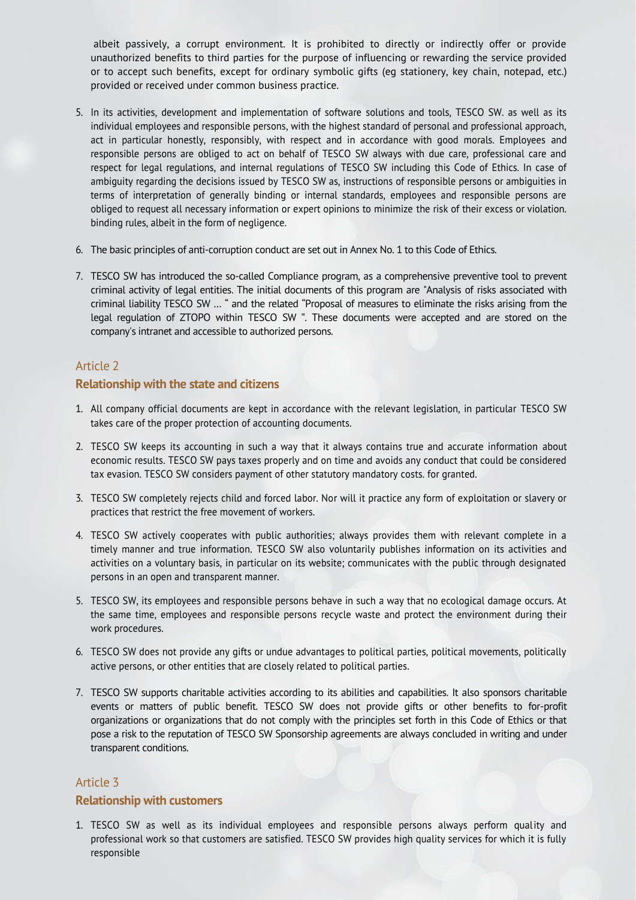albeit passively, a corrupt environment. It is prohibited to directly or indirectly offer or provide unauthorized benefits to third parties for the purpose of influencing or rewarding the service provided or to accept such benefits, except for ordinary symbolic gifts (eg stationery, key chain, notepad, etc.) provided or received under common business practice.

- 5. In its activities, development and implementation of software solutions and tools, TESCO SW. as well as its individual employees and responsible persons, with the highest standard of personal and professional approach, act in particular honestly, responsibly, with respect and in accordance with good morals. Employees and responsible persons are obliged to act on behalf of TESCO SW always with due care, professional care and respect for legal regulations, and internal regulations of TESCO SW including this Code of Ethics. In case of ambiguity regarding the decisions issued by TESCO SW as, instructions of responsible persons or ambiguities in terms of interpretation of generally binding or internal standards, employees and responsible persons are obliged to request all necessary information or expert opinions to minimize the risk of their excess or violation. binding rules, albeit in the form of negligence.
- 6. The basic principles of anti-corruption conduct are set out in Annex No. 1 to this Code of Ethics.
- 7. TESCO SW has introduced the so-called Compliance program, as a comprehensive preventive tool to prevent criminal activity of legal entities. The initial documents of this program are "Analysis of risks associated with criminal liability TESCO SW … " and the related "Proposal of measures to eliminate the risks arising from the legal regulation of ZTOPO within TESCO SW ". These documents were accepted and are stored on the company's intranet and accessible to authorized persons.

# Article 2

#### **Relationship with the state and citizens**

- 1. All company official documents are kept in accordance with the relevant legislation, in particular TESCO SW takes care of the proper protection of accounting documents.
- 2. TESCO SW keeps its accounting in such a way that it always contains true and accurate information about economic results. TESCO SW pays taxes properly and on time and avoids any conduct that could be considered tax evasion. TESCO SW considers payment of other statutory mandatory costs. for granted.
- 3. TESCO SW completely rejects child and forced labor. Nor will it practice any form of exploitation or slavery or practices that restrict the free movement of workers.
- 4. TESCO SW actively cooperates with public authorities; always provides them with relevant complete in a timely manner and true information. TESCO SW also voluntarily publishes information on its activities and activities on a voluntary basis, in particular on its website; communicates with the public through designated persons in an open and transparent manner.
- 5. TESCO SW, its employees and responsible persons behave in such a way that no ecological damage occurs. At the same time, employees and responsible persons recycle waste and protect the environment during their work procedures.
- 6. TESCO SW does not provide any gifts or undue advantages to political parties, political movements, politically active persons, or other entities that are closely related to political parties.
- 7. TESCO SW supports charitable activities according to its abilities and capabilities. It also sponsors charitable events or matters of public benefit. TESCO SW does not provide gifts or other benefits to for-profit organizations or organizations that do not comply with the principles set forth in this Code of Ethics or that pose a risk to the reputation of TESCO SW Sponsorship agreements are always concluded in writing and under transparent conditions.

#### Article 3

#### **Relationship with customers**

1. TESCO SW as well as its individual employees and responsible persons always perform quality and professional work so that customers are satisfied. TESCO SW provides high quality services for which it is fully responsible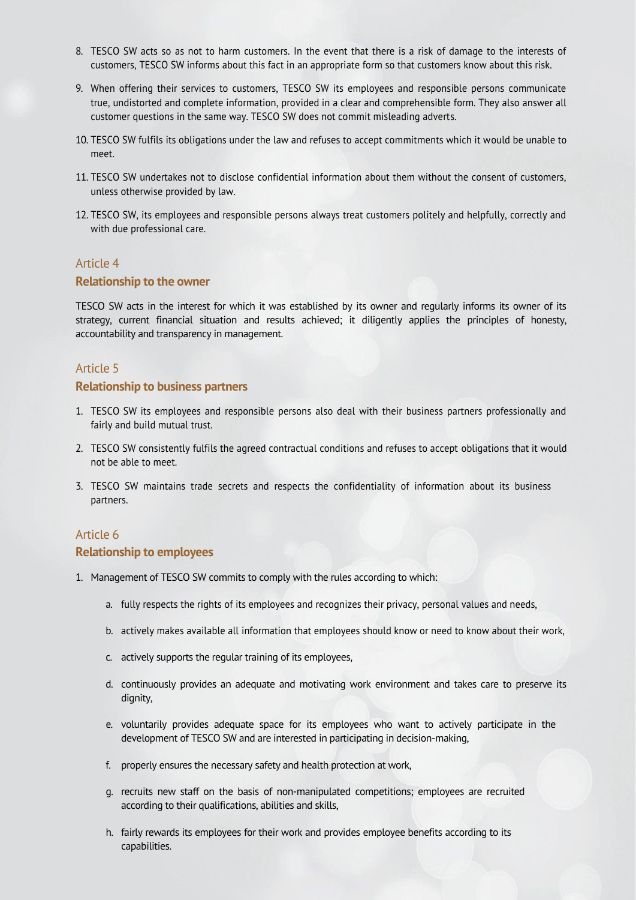- 8. TESCO SW acts so as not to harm customers. In the event that there is a risk of damage to the interests of customers, TESCO SW informs about this fact in an appropriate form so that customers know about this risk.
- 9. When offering their services to customers, TESCO SW its employees and responsible persons communicate true, undistorted and complete information, provided in a clear and comprehensible form. They also answer all customer questions in the same way. TESCO SW does not commit misleading adverts.
- 10. TESCO SW fulfils its obligations under the law and refuses to accept commitments which it would be unable to meet.
- 11. TESCO SW undertakes not to disclose confidential information about them without the consent of customers, unless otherwise provided by law.
- 12. TESCO SW, its employees and responsible persons always treat customers politely and helpfully, correctly and with due professional care.

#### **Relationship to the owner**

TESCO SW acts in the interest for which it was established by its owner and regularly informs its owner of its strategy, current financial situation and results achieved; it diligently applies the principles of honesty, accountability and transparency in management.

#### Article 5

#### **Relationship to business partners**

- 1. TESCO SW its employees and responsible persons also deal with their business partners professionally and fairly and build mutual trust.
- 2. TESCO SW consistently fulfils the agreed contractual conditions and refuses to accept obligations that it would not be able to meet.
- 3. TESCO SW maintains trade secrets and respects the confidentiality of information about its business partners.

# Article 6

#### **Relationship to employees**

- 1. Management of TESCO SW commits to comply with the rules according to which:
	- a. fully respects the rights of its employees and recognizes their privacy, personal values and needs,
	- b. actively makes available all information that employees should know or need to know about their work,
	- c. actively supports the regular training of its employees,
	- d. continuously provides an adequate and motivating work environment and takes care to preserve its dignity,
	- e. voluntarily provides adequate space for its employees who want to actively participate in the development of TESCO SW and are interested in participating in decision-making,
	- f. properly ensures the necessary safety and health protection at work,
	- g. recruits new staff on the basis of non-manipulated competitions; employees are recruited according to their qualifications, abilities and skills,
	- h. fairly rewards its employees for their work and provides employee benefits according to its capabilities.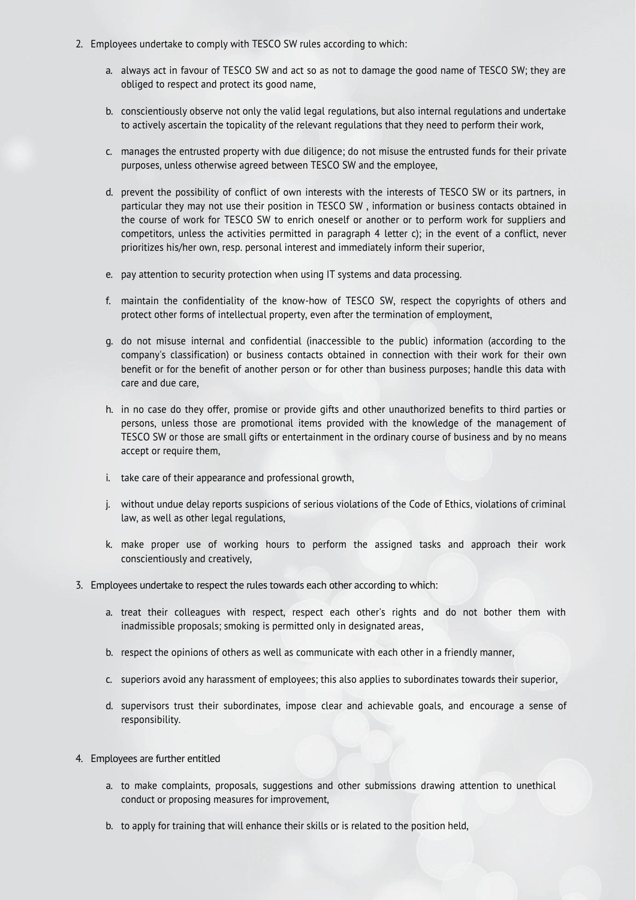- 2. Employees undertake to comply with TESCO SW rules according to which:
	- a. always act in favour of TESCO SW and act so as not to damage the good name of TESCO SW; they are obliged to respect and protect its good name,
	- b. conscientiously observe not only the valid legal regulations, but also internal regulations and undertake to actively ascertain the topicality of the relevant regulations that they need to perform their work,
	- c. manages the entrusted property with due diligence; do not misuse the entrusted funds for their private purposes, unless otherwise agreed between TESCO SW and the employee,
	- d. prevent the possibility of conflict of own interests with the interests of TESCO SW or its partners, in particular they may not use their position in TESCO SW , information or business contacts obtained in the course of work for TESCO SW to enrich oneself or another or to perform work for suppliers and competitors, unless the activities permitted in paragraph 4 letter c); in the event of a conflict, never prioritizes his/her own, resp. personal interest and immediately inform their superior,
	- e. pay attention to security protection when using IT systems and data processing.
	- f. maintain the confidentiality of the know-how of TESCO SW, respect the copyrights of others and protect other forms of intellectual property, even after the termination of employment,
	- g. do not misuse internal and confidential (inaccessible to the public) information (according to the company's classification) or business contacts obtained in connection with their work for their own benefit or for the benefit of another person or for other than business purposes; handle this data with care and due care,
	- h. in no case do they offer, promise or provide gifts and other unauthorized benefits to third parties or persons, unless those are promotional items provided with the knowledge of the management of TESCO SW or those are small gifts or entertainment in the ordinary course of business and by no means accept or require them,
	- i. take care of their appearance and professional growth,
	- j. without undue delay reports suspicions of serious violations of the Code of Ethics, violations of criminal law, as well as other legal regulations,
	- k. make proper use of working hours to perform the assigned tasks and approach their work conscientiously and creatively,
- 3. Employees undertake to respect the rules towards each other according to which:
	- a. treat their colleagues with respect, respect each other's rights and do not bother them with inadmissible proposals; smoking is permitted only in designated areas,
	- b. respect the opinions of others as well as communicate with each other in a friendly manner,
	- c. superiors avoid any harassment of employees; this also applies to subordinates towards their superior,
	- d. supervisors trust their subordinates, impose clear and achievable goals, and encourage a sense of responsibility.
- 4. Employees are further entitled
	- a. to make complaints, proposals, suggestions and other submissions drawing attention to unethical conduct or proposing measures for improvement,
	- b. to apply for training that will enhance their skills or is related to the position held,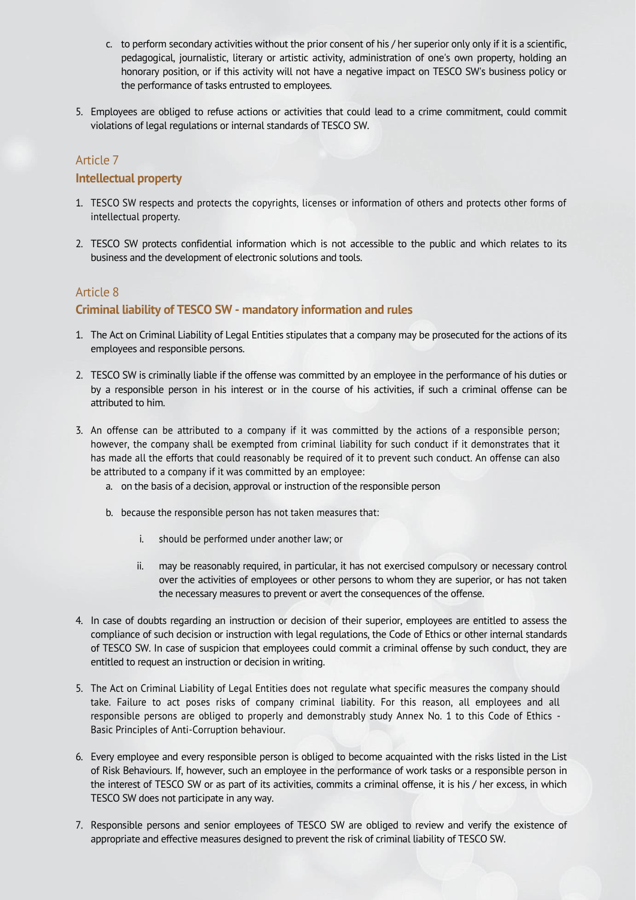- c. to perform secondary activities without the prior consent of his / her superior only only if it is a scientific, pedagogical, journalistic, literary or artistic activity, administration of one's own property, holding an honorary position, or if this activity will not have a negative impact on TESCO SW's business policy or the performance of tasks entrusted to employees.
- 5. Employees are obliged to refuse actions or activities that could lead to a crime commitment, could commit violations of legal regulations or internal standards of TESCO SW.

#### **Intellectual property**

- 1. TESCO SW respects and protects the copyrights, licenses or information of others and protects other forms of intellectual property.
- 2. TESCO SW protects confidential information which is not accessible to the public and which relates to its business and the development of electronic solutions and tools.

# Article 8

# **Criminal liability of TESCO SW - mandatory information and rules**

- 1. The Act on Criminal Liability of Legal Entities stipulates that a company may be prosecuted for the actions of its employees and responsible persons.
- 2. TESCO SW is criminally liable if the offense was committed by an employee in the performance of his duties or by a responsible person in his interest or in the course of his activities, if such a criminal offense can be attributed to him.
- 3. An offense can be attributed to a company if it was committed by the actions of a responsible person; however, the company shall be exempted from criminal liability for such conduct if it demonstrates that it has made all the efforts that could reasonably be required of it to prevent such conduct. An offense can also be attributed to a company if it was committed by an employee:
	- a. on the basis of a decision, approval or instruction of the responsible person
	- b. because the responsible person has not taken measures that:
		- i. should be performed under another law; or
		- ii. may be reasonably required, in particular, it has not exercised compulsory or necessary control over the activities of employees or other persons to whom they are superior, or has not taken the necessary measures to prevent or avert the consequences of the offense.
- 4. In case of doubts regarding an instruction or decision of their superior, employees are entitled to assess the compliance of such decision or instruction with legal regulations, the Code of Ethics or other internal standards of TESCO SW. In case of suspicion that employees could commit a criminal offense by such conduct, they are entitled to request an instruction or decision in writing.
- 5. The Act on Criminal Liability of Legal Entities does not regulate what specific measures the company should take. Failure to act poses risks of company criminal liability. For this reason, all employees and all responsible persons are obliged to properly and demonstrably study Annex No. 1 to this Code of Ethics - Basic Principles of Anti-Corruption behaviour.
- 6. Every employee and every responsible person is obliged to become acquainted with the risks listed in the List of Risk Behaviours. If, however, such an employee in the performance of work tasks or a responsible person in the interest of TESCO SW or as part of its activities, commits a criminal offense, it is his / her excess, in which TESCO SW does not participate in any way.
- 7. Responsible persons and senior employees of TESCO SW are obliged to review and verify the existence of appropriate and effective measures designed to prevent the risk of criminal liability of TESCO SW.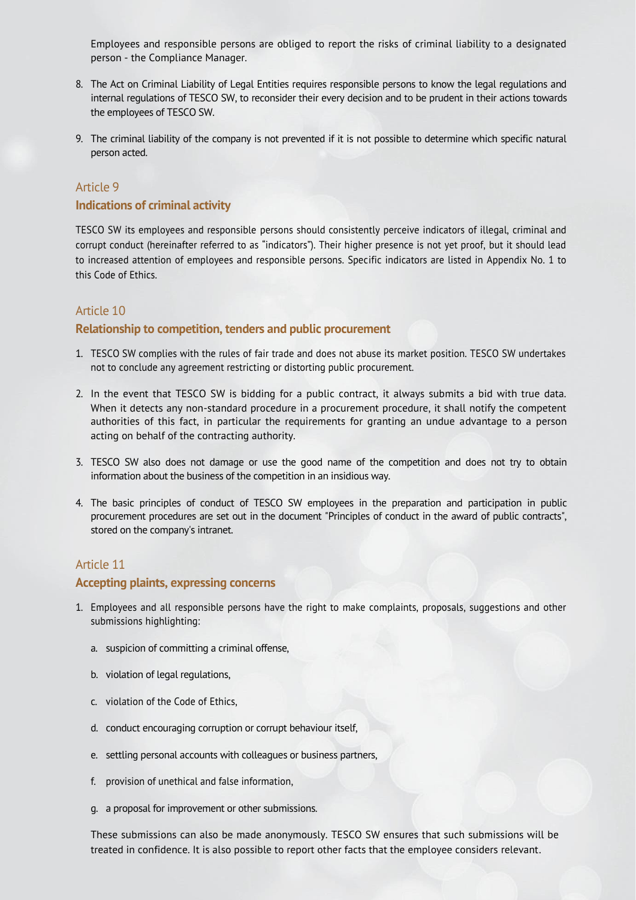Employees and responsible persons are obliged to report the risks of criminal liability to a designated person - the Compliance Manager.

- 8. The Act on Criminal Liability of Legal Entities requires responsible persons to know the legal regulations and internal regulations of TESCO SW, to reconsider their every decision and to be prudent in their actions towards the employees of TESCO SW.
- 9. The criminal liability of the company is not prevented if it is not possible to determine which specific natural person acted.

# Article 9

#### **Indications of criminal activity**

TESCO SW its employees and responsible persons should consistently perceive indicators of illegal, criminal and corrupt conduct (hereinafter referred to as "indicators"). Their higher presence is not yet proof, but it should lead to increased attention of employees and responsible persons. Specific indicators are listed in Appendix No. 1 to this Code of Ethics.

# Article 10

#### **Relationship to competition, tenders and public procurement**

- 1. TESCO SW complies with the rules of fair trade and does not abuse its market position. TESCO SW undertakes not to conclude any agreement restricting or distorting public procurement.
- 2. In the event that TESCO SW is bidding for a public contract, it always submits a bid with true data. When it detects any non-standard procedure in a procurement procedure, it shall notify the competent authorities of this fact, in particular the requirements for granting an undue advantage to a person acting on behalf of the contracting authority.
- 3. TESCO SW also does not damage or use the good name of the competition and does not try to obtain information about the business of the competition in an insidious way.
- 4. The basic principles of conduct of TESCO SW employees in the preparation and participation in public procurement procedures are set out in the document "Principles of conduct in the award of public contracts", stored on the company's intranet.

#### Article 11

#### **Accepting plaints, expressing concerns**

- 1. Employees and all responsible persons have the right to make complaints, proposals, suggestions and other submissions highlighting:
	- a. suspicion of committing a criminal offense,
	- b. violation of legal regulations,
	- c. violation of the Code of Ethics,
	- d. conduct encouraging corruption or corrupt behaviour itself,
	- e. settling personal accounts with colleagues or business partners,
	- f. provision of unethical and false information,
	- g. a proposal for improvement or other submissions.

These submissions can also be made anonymously. TESCO SW ensures that such submissions will be treated in confidence. It is also possible to report other facts that the employee considers relevant.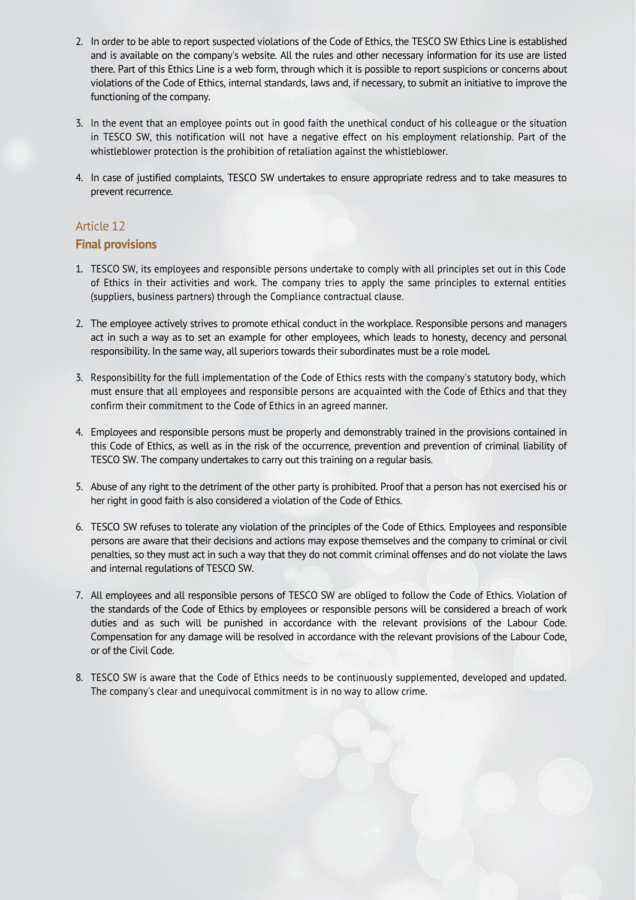- 2. In order to be able to report suspected violations of the Code of Ethics, the TESCO SW Ethics Line is established and is available on the company's website. All the rules and other necessary information for its use are listed there. Part of this Ethics Line is a web form, through which it is possible to report suspicions or concerns about violations of the Code of Ethics, internal standards, laws and, if necessary, to submit an initiative to improve the functioning of the company.
- 3. In the event that an employee points out in good faith the unethical conduct of his colleague or the situation in TESCO SW, this notification will not have a negative effect on his employment relationship. Part of the whistleblower protection is the prohibition of retaliation against the whistleblower.
- 4. In case of justified complaints, TESCO SW undertakes to ensure appropriate redress and to take measures to prevent recurrence.

#### **Final provisions**

- 1. TESCO SW, its employees and responsible persons undertake to comply with all principles set out in this Code of Ethics in their activities and work. The company tries to apply the same principles to external entities (suppliers, business partners) through the Compliance contractual clause.
- 2. The employee actively strives to promote ethical conduct in the workplace. Responsible persons and managers act in such a way as to set an example for other employees, which leads to honesty, decency and personal responsibility. In the same way, all superiors towards their subordinates must be a role model.
- 3. Responsibility for the full implementation of the Code of Ethics rests with the company's statutory body, which must ensure that all employees and responsible persons are acquainted with the Code of Ethics and that they confirm their commitment to the Code of Ethics in an agreed manner.
- 4. Employees and responsible persons must be properly and demonstrably trained in the provisions contained in this Code of Ethics, as well as in the risk of the occurrence, prevention and prevention of criminal liability of TESCO SW. The company undertakes to carry out this training on a regular basis.
- 5. Abuse of any right to the detriment of the other party is prohibited. Proof that a person has not exercised his or her right in good faith is also considered a violation of the Code of Ethics.
- 6. TESCO SW refuses to tolerate any violation of the principles of the Code of Ethics. Employees and responsible persons are aware that their decisions and actions may expose themselves and the company to criminal or civil penalties, so they must act in such a way that they do not commit criminal offenses and do not violate the laws and internal regulations of TESCO SW.
- 7. All employees and all responsible persons of TESCO SW are obliged to follow the Code of Ethics. Violation of the standards of the Code of Ethics by employees or responsible persons will be considered a breach of work duties and as such will be punished in accordance with the relevant provisions of the Labour Code. Compensation for any damage will be resolved in accordance with the relevant provisions of the Labour Code, or of the Civil Code.
- 8. TESCO SW is aware that the Code of Ethics needs to be continuously supplemented, developed and updated. The company's clear and unequivocal commitment is in no way to allow crime.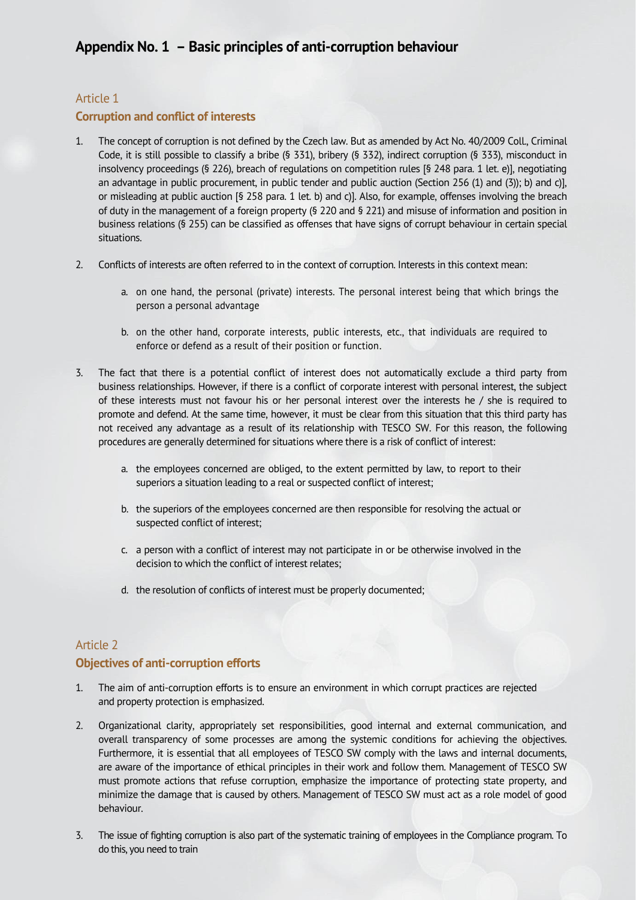# **Corruption and conflict of interests**

- 1. The concept of corruption is not defined by the Czech law. But as amended by Act No. 40/2009 Coll., Criminal Code, it is still possible to classify a bribe (§ 331), bribery (§ 332), indirect corruption (§ 333), misconduct in insolvency proceedings (§ 226), breach of regulations on competition rules [§ 248 para. 1 let. e)], negotiating an advantage in public procurement, in public tender and public auction (Section 256 (1) and (3)); b) and c)], or misleading at public auction [§ 258 para. 1 let. b) and c)]. Also, for example, offenses involving the breach of duty in the management of a foreign property (§ 220 and § 221) and misuse of information and position in business relations (§ 255) can be classified as offenses that have signs of corrupt behaviour in certain special situations.
- 2. Conflicts of interests are often referred to in the context of corruption. Interests in this context mean:
	- a. on one hand, the personal (private) interests. The personal interest being that which brings the person a personal advantage
	- b. on the other hand, corporate interests, public interests, etc., that individuals are required to enforce or defend as a result of their position or function.
- 3. The fact that there is a potential conflict of interest does not automatically exclude a third party from business relationships. However, if there is a conflict of corporate interest with personal interest, the subject of these interests must not favour his or her personal interest over the interests he / she is required to promote and defend. At the same time, however, it must be clear from this situation that this third party has not received any advantage as a result of its relationship with TESCO SW. For this reason, the following procedures are generally determined for situations where there is a risk of conflict of interest:
	- a. the employees concerned are obliged, to the extent permitted by law, to report to their superiors a situation leading to a real or suspected conflict of interest;
	- b. the superiors of the employees concerned are then responsible for resolving the actual or suspected conflict of interest;
	- c. a person with a conflict of interest may not participate in or be otherwise involved in the decision to which the conflict of interest relates;
	- d. the resolution of conflicts of interest must be properly documented;

# Article 2 **Objectives of anti-corruption efforts**

- 1. The aim of anti-corruption efforts is to ensure an environment in which corrupt practices are rejected and property protection is emphasized.
- 2. Organizational clarity, appropriately set responsibilities, good internal and external communication, and overall transparency of some processes are among the systemic conditions for achieving the objectives. Furthermore, it is essential that all employees of TESCO SW comply with the laws and internal documents, are aware of the importance of ethical principles in their work and follow them. Management of TESCO SW must promote actions that refuse corruption, emphasize the importance of protecting state property, and minimize the damage that is caused by others. Management of TESCO SW must act as a role model of good behaviour.
- 3. The issue of fighting corruption is also part of the systematic training of employees in the Compliance program. To do this, you need to train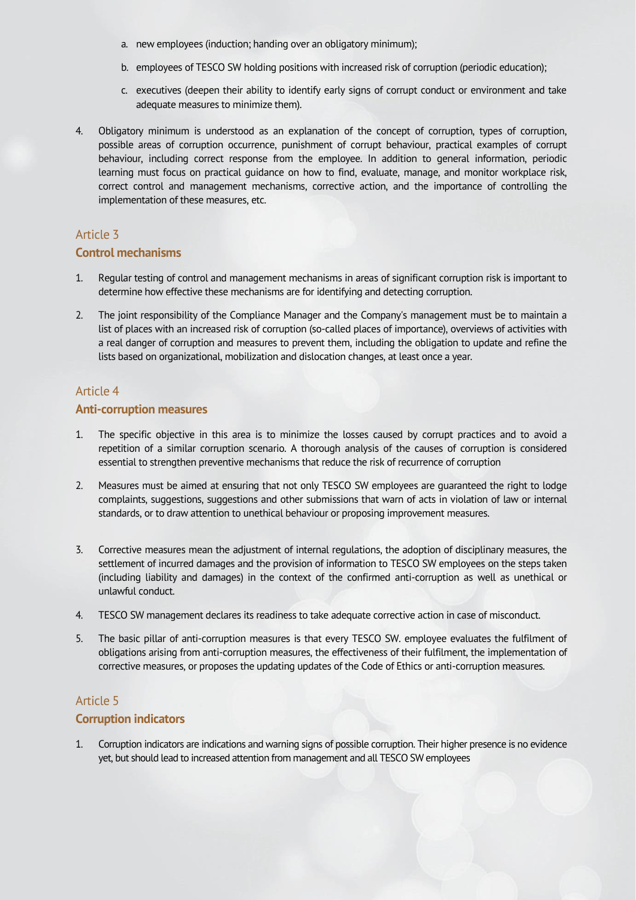- a. new employees (induction; handing over an obligatory minimum);
- b. employees of TESCO SW holding positions with increased risk of corruption (periodic education);
- c. executives (deepen their ability to identify early signs of corrupt conduct or environment and take adequate measures to minimize them).
- 4. Obligatory minimum is understood as an explanation of the concept of corruption, types of corruption, possible areas of corruption occurrence, punishment of corrupt behaviour, practical examples of corrupt behaviour, including correct response from the employee. In addition to general information, periodic learning must focus on practical guidance on how to find, evaluate, manage, and monitor workplace risk, correct control and management mechanisms, corrective action, and the importance of controlling the implementation of these measures, etc.

#### **Control mechanisms**

- 1. Regular testing of control and management mechanisms in areas of significant corruption risk is important to determine how effective these mechanisms are for identifying and detecting corruption.
- 2. The joint responsibility of the Compliance Manager and the Company's management must be to maintain a list of places with an increased risk of corruption (so-called places of importance), overviews of activities with a real danger of corruption and measures to prevent them, including the obligation to update and refine the lists based on organizational, mobilization and dislocation changes, at least once a year.

# Article 4

#### **Anti-corruption measures**

- 1. The specific objective in this area is to minimize the losses caused by corrupt practices and to avoid a repetition of a similar corruption scenario. A thorough analysis of the causes of corruption is considered essential to strengthen preventive mechanisms that reduce the risk of recurrence of corruption
- 2. Measures must be aimed at ensuring that not only TESCO SW employees are guaranteed the right to lodge complaints, suggestions, suggestions and other submissions that warn of acts in violation of law or internal standards, or to draw attention to unethical behaviour or proposing improvement measures.
- 3. Corrective measures mean the adjustment of internal regulations, the adoption of disciplinary measures, the settlement of incurred damages and the provision of information to TESCO SW employees on the steps taken (including liability and damages) in the context of the confirmed anti-corruption as well as unethical or unlawful conduct.
- 4. TESCO SW management declares its readiness to take adequate corrective action in case of misconduct.
- 5. The basic pillar of anti-corruption measures is that every TESCO SW. employee evaluates the fulfilment of obligations arising from anti-corruption measures, the effectiveness of their fulfilment, the implementation of corrective measures, or proposes the updating updates of the Code of Ethics or anti-corruption measures.

#### Article 5

#### **Corruption indicators**

1. Corruption indicators are indications and warning signs of possible corruption. Their higher presence is no evidence yet, but should lead to increased attention from management and all TESCO SW employees